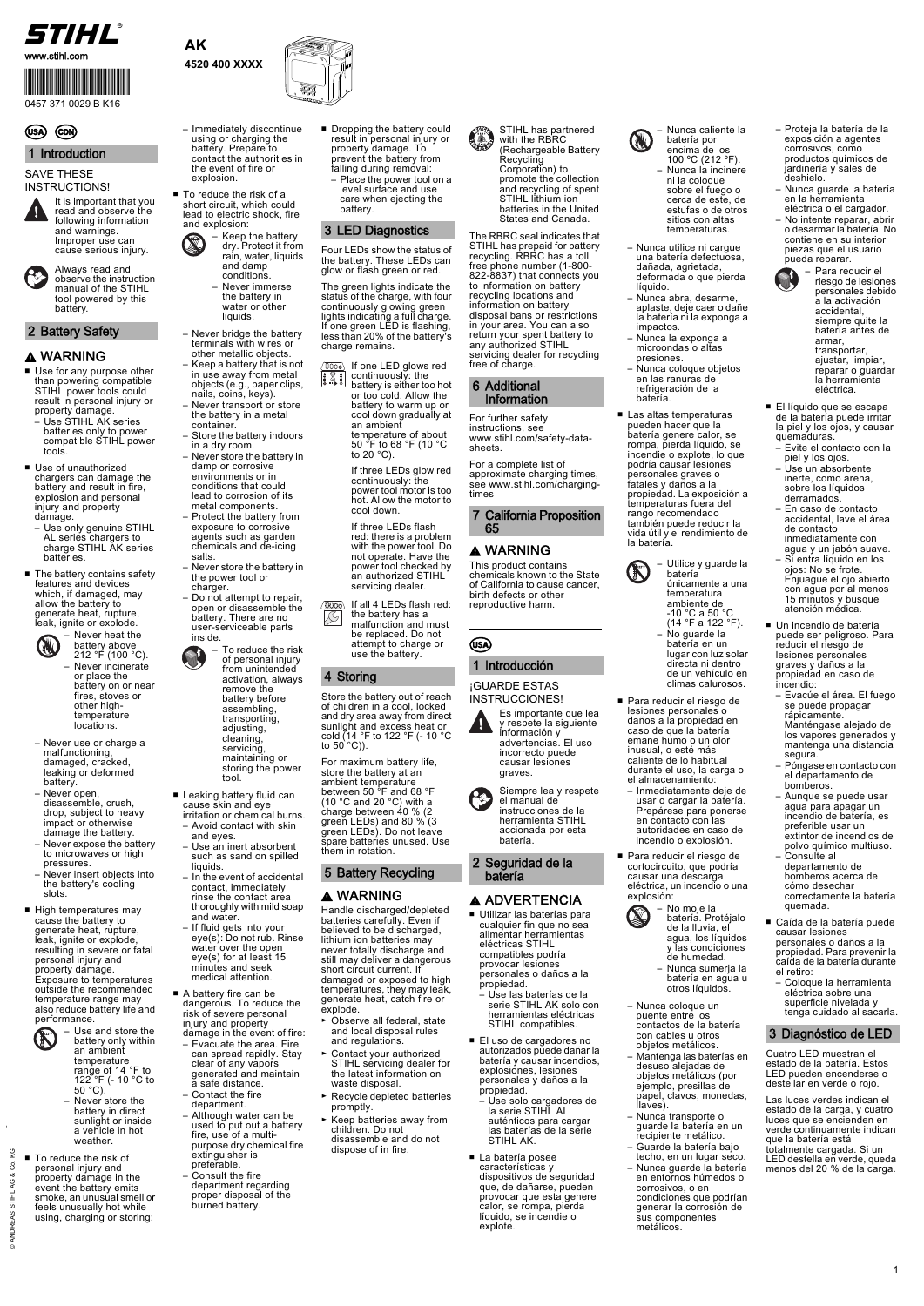

- Use for any purpose other than powering compatible STIHL power tools could result in personal injury or property damage.
- Use STIHL AK series batteries only to power compatible STIHL power tools.
- Use of unauthorized chargers can damage the battery and result in fire, explosion and personal injury and property damage.
- Use only genuine STIHL AL series chargers to charge STIHL AK series batteries.
- The battery contains safety features and devices which, if damaged, may allow the battery to generate heat, rupture, leak, ignite or explode.



1



**AK 4520 400 XXXX**





#### SAVE THESE INSTRUCTIONS!

■ To reduce the risk of a short circuit, which could lead to electric shock, fire and explosion:

- Leaking battery fluid can cause skin and eye irritation or chemical burns. – Avoid contact with skin
- and eyes. – Use an inert absorbent
- such as sand on spilled liquids. – In the event of accidental
- contact, immediately rinse the contact area thoroughly with mild soap and water.
- If fluid gets into your eye(s): Do not rub. Rinse water over the open eye(s) for at least 15 minutes and seek medical attention.
- Never use or charge a malfunctioning, damaged, cracked, leaking or deformed battery.
- Never open, disassemble, crush, drop, subject to heavy impact or otherwise damage the battery.
- Never expose the battery to microwaves or high pressures.
- Never insert objects into the battery's cooling slots.
- High temperatures may cause the battery to generate heat, rupture, leak, ignite or explode, resulting in severe or fatal personal injury and property damage. Exposure to temperatures

- A battery fire can be dangerous. To reduce the risk of severe personal injury and property
- damage in the event of fire:
- Evacuate the area. Fire can spread rapidly. Stay clear of any vapors generated and maintain a safe distance.
- Contact the fire department.
- Although water can be used to put out a battery fire, use of a multipurpose dry chemical fire extinguisher is preferable.
- Consult the fire department regarding proper disposal of the burned battery.
- Dropping the battery could result in personal injury or property damage. To prevent the battery from falling during removal:
	- Place the power tool on a level surface and use care when ejecting the battery.

outside the recommended temperature range may also reduce battery life and performance.



Store the battery out of reach of children in a cool, locked and dry area away from direct sunlight and excess heat or cold (14 °F to 122 °F (- 10 °C to  $50^{\circ}$  C)).

event the battery emits smoke, an unusual smell or feels unusually hot while using, charging or storing:

– Immediately discontinue using or charging the battery. Prepare to contact the authorities in the event of fire or explosion.

> ■ Las altas temperaturas pueden hacer que la batería genere calor, se rompa, pierda líquido, se incendie o explote, lo que podría causar lesiones personales graves o fatales y daños a la propiedad. La exposición a temperaturas fuera del rango recomendado también puede reducir la vida útil y el rendimiento de la batería.

Four LEDs show the status of the battery. These LEDs can glow or flash green or red.

The green lights indicate the status of the charge, with four continuously glowing green lights indicating a full charge. If one green LED is flashing, less than 20% of the battery's charge remains.

For maximum battery life, store the battery at an ambient temperature between 50 °F and 68 °F (10 °C and 20 °C) with a charge between 40 % (2 green LEDs) and 80 % (3 green LEDs). Do not leave spare batteries unused. Use them in rotation.

Handle discharged/depleted batteries carefully. Even if believed to be discharged, lithium ion batteries may never totally discharge and still may deliver a dangerous short circuit current. If damaged or exposed to high

Never incinerate or place the battery on or near fires, stoves or other hightemperature locations.

- Use and store the battery only within an ambient temperature range of 14 °F to
- 122<sup>°</sup>F (- 10 °C to  $50^{\circ}$ C).

The RBRC seal indicates that STIHL has prepaid for battery recycling. RBRC has a toll free phone number (1-800- 822-8837) that connects you to information on battery recycling locations and information on battery disposal bans or restrictions in your area. You can also return your spent battery to any authorized STIHL servicing dealer for recycling free of charge.

■ To reduce the risk of personal injury and property damage in the – Never store the battery in direct sunlight or inside a vehicle in hot weather.

If one LED glows red continuously: the  $\left| \frac{1}{2} \right|$ 

battery is either too hot or too cold. Allow the battery to warm up or cool down gradually at an ambient temperature of about 50 °F to 68 °F (10 °C to 20 $°C$ )

For further safety instructions, see www.stihl.com/safety-datasheets.

For a complete list of approximate charging times, see www.stihl.com/chargingtimes

- temperatures, they may leak, generate heat, catch fire or explode.
- ► Observe all federal, state and local disposal rules and regulations.
- ► Contact your authorized STIHL servicing dealer for the latest information on waste disposal.
- ► Recycle depleted batteries promptly.
- ► Keep batteries away from children. Do not disassemble and do not dispose of in fire.
- El uso de cargadores no autorizados puede dañar la batería y causar incendios, explosiones, lesiones personales y daños a la propiedad.
	- Use solo cargadores de la serie STIHL AL auténticos para cargar las baterías de la serie STIHL AK.
- La batería posee características y dispositivos de seguridad que, de dañarse, pueden provocar que esta genere calor, se rompa, pierda líquido, se incendie o explote.
- Keep the battery dry. Protect it from rain, water, liquids and damp conditions. – Never immerse the battery in water or other liquids.
- Never bridge the battery terminals with wires or other metallic objects.
- Keep a battery that is not in use away from metal objects (e.g., paper clips, nails, coins, keys).
- Never transport or store the battery in a metal container.
- Store the battery indoors in a dry room.
- Never store the battery in damp or corrosive environments or in conditions that could lead to corrosion of its metal components.
- Protect the battery from exposure to corrosive agents such as garden chemicals and de-icing salts.
- Never store the battery in the power tool or charger.
- Do not attempt to repair, open or disassemble the battery. There are no user-serviceable parts inside.

This product contains chemicals known to the State of California to cause cancer, birth defects or other reproductive harm.

STIHL has partnered with the RBRC (Rechargeable Battery **Recycling** Corporation) to promote the collection and recycling of spent STIHL lithium ion batteries in the United States and Canada.



¡GUARDE ESTAS INSTRUCCIONES!

■ Utilizar las baterías para cualquier fin que no sea alimentar herramientas eléctricas STIHL compatibles podría provocar lesiones personales o daños a la propiedad. – Use las baterías de la serie STIHL AK solo con herramientas eléctricas STIHL compatibles.

- Nunca coloque un puente entre los contactos de la batería con cables u otros objetos metálicos.
- Mantenga las baterías en desuso alejadas de objetos metálicos (por ejemplo, presillas de papel, clavos, monedas, llaves).
- Nunca transporte o guarde la batería en un recipiente metálico.
- Guarde la batería bajo techo, en un lugar seco.
- Nunca guarde la batería en entornos húmedos o corrosivos, o en condiciones que podrían generar la corrosión de sus componentes metálicos.

■ Un incendio de batería puede ser peligroso. Para reducir el riesgo de lesiones personales graves y daños a la propiedad en caso de

incendio:

– Evacúe el área. El fuego se puede propagar rápidamente.

Manténgase alejado de los vapores generados y mantenga una distancia

segura.

– Póngase en contacto con el departamento de

bomberos.

– Aunque se puede usar agua para apagar un incendio de batería, es preferible usar un extintor de incendios de polvo químico multiuso.

– Consulte al departamento de bomberos acerca de cómo desechar

- encima de los 100 ºC (212 ºF). – Nunca la incinere ni la coloque sobre el fuego o cerca de este, de estufas o de otros sitios con altas temperaturas.
- Nunca utilice ni cargue una batería defectuosa, dañada, agrietada, deformada o que pierda líquido.
- Nunca abra, desarme, aplaste, deje caer o dañe la batería ni la exponga a impactos.
- Nunca la exponga a microondas o altas presiones.
- Nunca coloque objetos en las ranuras de refrigeración de la batería.

correctamente la batería

quemada.

■ Caída de la batería puede causar lesiones personales o daños a la propiedad. Para prevenir la caída de la batería durante

el retiro:

– Coloque la herramienta eléctrica sobre una superficie nivelada y tenga cuidado al sacarla.

Cuatro LED muestran el estado de la batería. Estos LED pueden encenderse o destellar en verde o rojo.

Las luces verdes indican el estado de la carga, y cuatro luces que se encienden en verde continuamente indican que la batería está totalmente cargada. Si un LED destella en verde, queda menos del 20 % de la carga.

- batería en un lugar con luz solar directa ni dentro de un vehículo en climas calurosos.
- Para reducir el riesgo de lesiones personales o daños a la propiedad en caso de que la batería emane humo o un olor inusual, o esté más caliente de lo habitual durante el uso, la carga o el almacenamiento:
	- Inmediatamente deje de usar o cargar la batería. Prepárese para ponerse en contacto con las autoridades en caso de incendio o explosión.
- Para reducir el riesgo de cortocircuito, que podría causar una descarga eléctrica, un incendio o una explosión:

# 1 Introduction



cause serious injury.

Always read and observe the instruction manual of the STIHL tool powered by this battery.

# 2 Battery Safety

# A WARNING

– Never heat the battery above 212 °F (100 °C).

- Proteja la batería de la exposición a agentes corrosivos, como productos químicos de jardinería y sales de deshielo. – Nunca guarde la batería
- en la herramienta eléctrica o el cargador.
- No intente reparar, abrir o desarmar la batería. No contiene en su interior piezas que el usuario pueda reparar. – Para reducir el

- riesgo de lesiones personales debido a la activación accidental, siempre quite la batería antes de armar, transportar ajustar, limpiar, reparar o guardar la herramienta eléctrica.
- El líquido que se escapa de la batería puede irritar la piel y los ojos, y causar quemaduras.
- Evite el contacto con la piel y los ojos. – Use un absorbente
- inerte, como arena, sobre los líquidos derramados. – En caso de contacto
- accidental, lave el área de contacto inmediatamente con agua y un jabón suave.
- Si entra líquido en los ojos: No se frote. Enjuague el ojo abierto con agua por al menos 15 minutos y busque atención médica.

## 3 LED Diagnostics

If three LEDs glow red continuously: the power tool motor is too hot. Allow the motor to cool down.

If three LEDs flash red: there is a problem with the power tool. Do not operate. Have the power tool checked by an authorized STIHL servicing dealer.

If all 4 LEDs flash red:  $(000)$  $\oslash$ the battery has a malfunction and must be replaced. Do not attempt to charge or use the battery.

# 4 Storing

# 5 Battery Recycling

# A WARNING

### 6 Additional Information

#### 7 California Proposition 65

# A WARNING

# 1 Introducción





batería.

2 Seguridad de la batería

# A ADVERTENCIA





batería únicamente a una temperatura ambiente de -10 °C a 50 °C (14 °F a 122 °F). – No guarde la



- agua, los líquidos y las condiciones de humedad. – Nunca sumerja la
- batería en agua u

#### otros líquidos.

# 3 Diagnóstico de LED

0457 371 0029 B K16